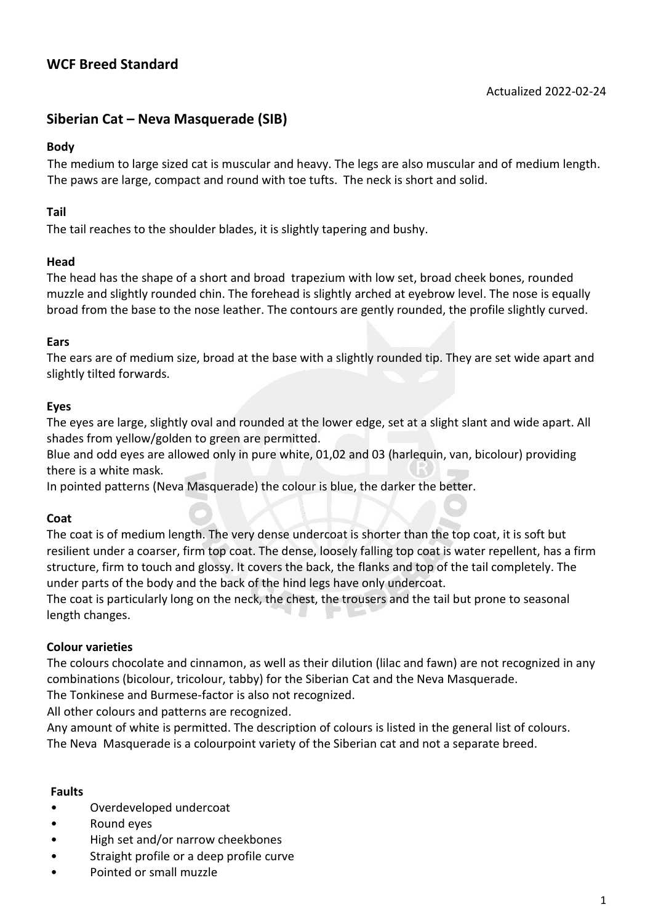# **WCF Breed Standard**

## **Siberian Cat – Neva Masquerade (SIB)**

### **Body**

The medium to large sized cat is muscular and heavy. The legs are also muscular and of medium length. The paws are large, compact and round with toe tufts. The neck is short and solid.

## **Tail**

The tail reaches to the shoulder blades, it is slightly tapering and bushy.

### **Head**

The head has the shape of a short and broad trapezium with low set, broad cheek bones, rounded muzzle and slightly rounded chin. The forehead is slightly arched at eyebrow level. The nose is equally broad from the base to the nose leather. The contours are gently rounded, the profile slightly curved.

### **Ears**

The ears are of medium size, broad at the base with a slightly rounded tip. They are set wide apart and slightly tilted forwards.

### **Eyes**

The eyes are large, slightly oval and rounded at the lower edge, set at a slight slant and wide apart. All shades from yellow/golden to green are permitted.

Blue and odd eyes are allowed only in pure white, 01,02 and 03 (harlequin, van, bicolour) providing there is a white mask.

In pointed patterns (Neva Masquerade) the colour is blue, the darker the better.

## **Coat**

The coat is of medium length. The very dense undercoat is shorter than the top coat, it is soft but resilient under a coarser, firm top coat. The dense, loosely falling top coat is water repellent, has a firm structure, firm to touch and glossy. It covers the back, the flanks and top of the tail completely. The under parts of the body and the back of the hind legs have only undercoat.

The coat is particularly long on the neck, the chest, the trousers and the tail but prone to seasonal length changes.

## **Colour varieties**

The colours chocolate and cinnamon, as well as their dilution (lilac and fawn) are not recognized in any combinations (bicolour, tricolour, tabby) for the Siberian Cat and the Neva Masquerade.

The Tonkinese and Burmese-factor is also not recognized.

All other colours and patterns are recognized.

Any amount of white is permitted. The description of colours is listed in the general list of colours. The Neva Masquerade is a colourpoint variety of the Siberian cat and not a separate breed.

#### **Faults**

- Overdeveloped undercoat
- Round eyes
- High set and/or narrow cheekbones
- Straight profile or a deep profile curve
- Pointed or small muzzle